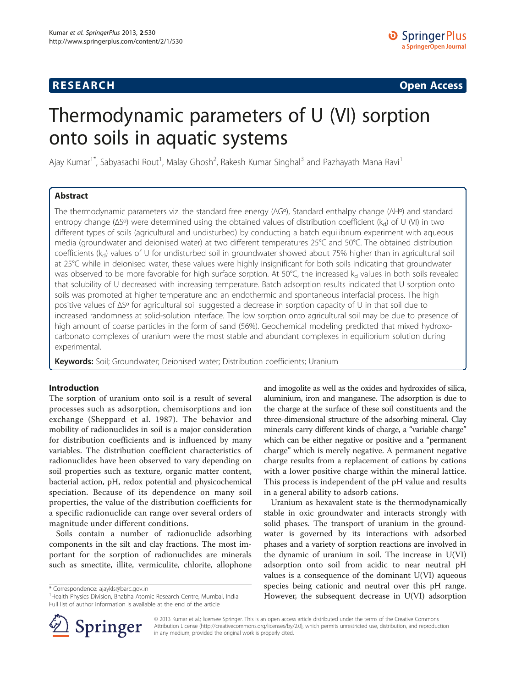## **RESEARCH RESEARCH CONSUMING ACCESS**

# Thermodynamic parameters of U (VI) sorption onto soils in aquatic systems

Ajay Kumar<sup>1\*</sup>, Sabyasachi Rout<sup>1</sup>, Malay Ghosh<sup>2</sup>, Rakesh Kumar Singhal<sup>3</sup> and Pazhayath Mana Ravi<sup>1</sup>

## Abstract

The thermodynamic parameters viz. the standard free energy (ΔGº), Standard enthalpy change (ΔHº) and standard entropy change ( $\Delta S^{\circ}$ ) were determined using the obtained values of distribution coefficient (k<sub>d</sub>) of U (VI) in two different types of soils (agricultural and undisturbed) by conducting a batch equilibrium experiment with aqueous media (groundwater and deionised water) at two different temperatures 25°C and 50°C. The obtained distribution coefficients ( $k_d$ ) values of U for undisturbed soil in groundwater showed about 75% higher than in agricultural soil at 25°C while in deionised water, these values were highly insignificant for both soils indicating that groundwater was observed to be more favorable for high surface sorption. At 50°C, the increased  $k_d$  values in both soils revealed that solubility of U decreased with increasing temperature. Batch adsorption results indicated that U sorption onto soils was promoted at higher temperature and an endothermic and spontaneous interfacial process. The high positive values of ΔSº for agricultural soil suggested a decrease in sorption capacity of U in that soil due to increased randomness at solid-solution interface. The low sorption onto agricultural soil may be due to presence of high amount of coarse particles in the form of sand (56%). Geochemical modeling predicted that mixed hydroxocarbonato complexes of uranium were the most stable and abundant complexes in equilibrium solution during experimental.

Keywords: Soil; Groundwater; Deionised water; Distribution coefficients; Uranium

## Introduction

The sorption of uranium onto soil is a result of several processes such as adsorption, chemisorptions and ion exchange (Sheppard et al. [1987\)](#page-6-0). The behavior and mobility of radionuclides in soil is a major consideration for distribution coefficients and is influenced by many variables. The distribution coefficient characteristics of radionuclides have been observed to vary depending on soil properties such as texture, organic matter content, bacterial action, pH, redox potential and physicochemical speciation. Because of its dependence on many soil properties, the value of the distribution coefficients for a specific radionuclide can range over several orders of magnitude under different conditions.

Soils contain a number of radionuclide adsorbing components in the silt and clay fractions. The most important for the sorption of radionuclides are minerals such as smectite, illite, vermiculite, chlorite, allophone

\* Correspondence: [ajaykls@barc.gov.in](mailto:ajaykls@barc.gov.in) <sup>1</sup>

and imogolite as well as the oxides and hydroxides of silica, aluminium, iron and manganese. The adsorption is due to the charge at the surface of these soil constituents and the three-dimensional structure of the adsorbing mineral. Clay minerals carry different kinds of charge, a "variable charge" which can be either negative or positive and a "permanent charge" which is merely negative. A permanent negative charge results from a replacement of cations by cations with a lower positive charge within the mineral lattice. This process is independent of the pH value and results in a general ability to adsorb cations.

Uranium as hexavalent state is the thermodynamically stable in oxic groundwater and interacts strongly with solid phases. The transport of uranium in the groundwater is governed by its interactions with adsorbed phases and a variety of sorption reactions are involved in the dynamic of uranium in soil. The increase in U(VI) adsorption onto soil from acidic to near neutral pH values is a consequence of the dominant  $U(VI)$  aqueous species being cationic and neutral over this pH range. However, the subsequent decrease in U(VI) adsorption



© 2013 Kumar et al.; licensee Springer. This is an open access article distributed under the terms of the Creative Commons Attribution License [\(http://creativecommons.org/licenses/by/2.0\)](http://creativecommons.org/licenses/by/2.0), which permits unrestricted use, distribution, and reproduction in any medium, provided the original work is properly cited.

<sup>&</sup>lt;sup>1</sup> Health Physics Division, Bhabha Atomic Research Centre, Mumbai, India Full list of author information is available at the end of the article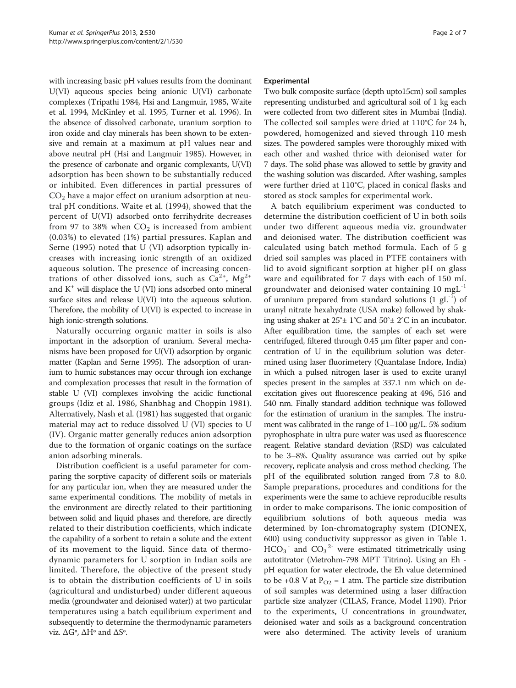with increasing basic pH values results from the dominant U(VI) aqueous species being anionic U(VI) carbonate complexes (Tripathi [1984,](#page-6-0) Hsi and Langmuir, [1985,](#page-6-0) Waite et al. [1994](#page-6-0), McKinley et al. [1995,](#page-6-0) Turner et al. [1996\)](#page-6-0). In the absence of dissolved carbonate, uranium sorption to iron oxide and clay minerals has been shown to be extensive and remain at a maximum at pH values near and above neutral pH (Hsi and Langmuir [1985\)](#page-6-0). However, in the presence of carbonate and organic complexants, U(VI) adsorption has been shown to be substantially reduced or inhibited. Even differences in partial pressures of  $CO<sub>2</sub>$  have a major effect on uranium adsorption at neutral pH conditions. Waite et al. [\(1994\)](#page-6-0), showed that the percent of U(VI) adsorbed onto ferrihydrite decreases from 97 to 38% when  $CO<sub>2</sub>$  is increased from ambient (0.03%) to elevated (1%) partial pressures. Kaplan and Serne ([1995\)](#page-6-0) noted that U (VI) adsorption typically increases with increasing ionic strength of an oxidized aqueous solution. The presence of increasing concentrations of other dissolved ions, such as  $Ca^{2+}$ ,  $Mg^{2+}$ and  $K^+$  will displace the U (VI) ions adsorbed onto mineral surface sites and release U(VI) into the aqueous solution. Therefore, the mobility of U(VI) is expected to increase in high ionic-strength solutions.

Naturally occurring organic matter in soils is also important in the adsorption of uranium. Several mechanisms have been proposed for U(VI) adsorption by organic matter (Kaplan and Serne [1995\)](#page-6-0). The adsorption of uranium to humic substances may occur through ion exchange and complexation processes that result in the formation of stable U (VI) complexes involving the acidic functional groups (Idiz et al. [1986,](#page-6-0) Shanbhag and Choppin [1981](#page-6-0)). Alternatively, Nash et al. [\(1981\)](#page-6-0) has suggested that organic material may act to reduce dissolved U (VI) species to U (IV). Organic matter generally reduces anion adsorption due to the formation of organic coatings on the surface anion adsorbing minerals.

Distribution coefficient is a useful parameter for comparing the sorptive capacity of different soils or materials for any particular ion, when they are measured under the same experimental conditions. The mobility of metals in the environment are directly related to their partitioning between solid and liquid phases and therefore, are directly related to their distribution coefficients, which indicate the capability of a sorbent to retain a solute and the extent of its movement to the liquid. Since data of thermodynamic parameters for U sorption in Indian soils are limited. Therefore, the objective of the present study is to obtain the distribution coefficients of U in soils (agricultural and undisturbed) under different aqueous media (groundwater and deionised water)) at two particular temperatures using a batch equilibrium experiment and subsequently to determine the thermodynamic parameters viz. ΔGº, ΔHº and ΔSº.

## Experimental

Two bulk composite surface (depth upto15cm) soil samples representing undisturbed and agricultural soil of 1 kg each were collected from two different sites in Mumbai (India). The collected soil samples were dried at 110°C for 24 h, powdered, homogenized and sieved through 110 mesh sizes. The powdered samples were thoroughly mixed with each other and washed thrice with deionised water for 7 days. The solid phase was allowed to settle by gravity and the washing solution was discarded. After washing, samples were further dried at 110°C, placed in conical flasks and stored as stock samples for experimental work.

A batch equilibrium experiment was conducted to determine the distribution coefficient of U in both soils under two different aqueous media viz. groundwater and deionised water. The distribution coefficient was calculated using batch method formula. Each of 5 g dried soil samples was placed in PTFE containers with lid to avoid significant sorption at higher pH on glass ware and equilibrated for 7 days with each of 150 mL groundwater and deionised water containing 10 mgL<sup>-1</sup> of uranium prepared from standard solutions  $(1 \text{ gL}^{-1})$  of uranyl nitrate hexahydrate (USA make) followed by shaking using shaker at 25°± 1°C and 50°± 2°C in an incubator. After equilibration time, the samples of each set were centrifuged, filtered through 0.45 μm filter paper and concentration of U in the equilibrium solution was determined using laser fluorimetery (Quantalase Indore, India) in which a pulsed nitrogen laser is used to excite uranyl species present in the samples at 337.1 nm which on deexcitation gives out fluorescence peaking at 496, 516 and 540 nm. Finally standard addition technique was followed for the estimation of uranium in the samples. The instrument was calibrated in the range of 1–100 μg/L. 5% sodium pyrophosphate in ultra pure water was used as fluorescence reagent. Relative standard deviation (RSD) was calculated to be 3–8%. Quality assurance was carried out by spike recovery, replicate analysis and cross method checking. The pH of the equilibrated solution ranged from 7.8 to 8.0. Sample preparations, procedures and conditions for the experiments were the same to achieve reproducible results in order to make comparisons. The ionic composition of equilibrium solutions of both aqueous media was determined by Ion-chromatography system (DIONEX, 600) using conductivity suppressor as given in Table [1](#page-2-0).  $HCO_3$ <sup>-</sup> and  $CO_3$ <sup>2-</sup> were estimated titrimetrically using autotitrator (Metrohm-798 MPT Titrino). Using an Eh pH equation for water electrode, the Eh value determined to be +0.8 V at  $P_{O2} = 1$  atm. The particle size distribution of soil samples was determined using a laser diffraction particle size analyzer (CILAS, France, Model 1190). Prior to the experiments, U concentrations in groundwater, deionised water and soils as a background concentration were also determined. The activity levels of uranium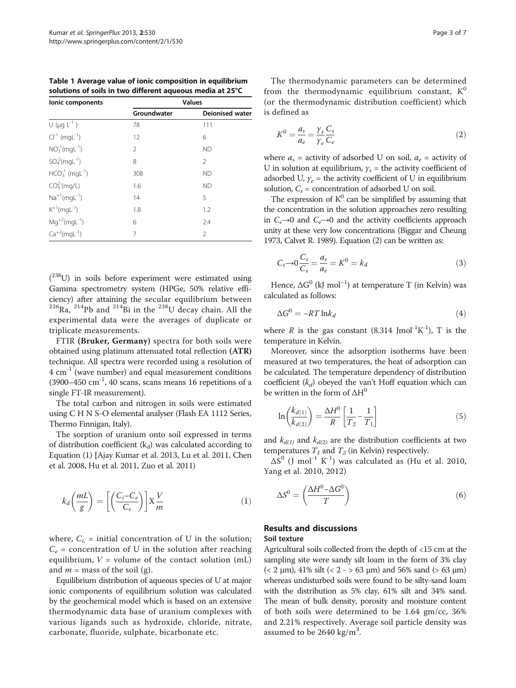<span id="page-2-0"></span>Table 1 Average value of ionic composition in equilibrium solutions of soils in two different aqueous media at 25°C

| lonic components                    | <b>Values</b> |                        |  |  |  |  |  |
|-------------------------------------|---------------|------------------------|--|--|--|--|--|
|                                     | Groundwater   | <b>Deionised water</b> |  |  |  |  |  |
| $U$ (µg $L^{-1}$ )                  | 78            | 111                    |  |  |  |  |  |
| $Cl^{-1}$ (mgL <sup>-1</sup> )      | 12            | 6                      |  |  |  |  |  |
| $NO3-1(mqL-1)$                      | 2             | <b>ND</b>              |  |  |  |  |  |
| $SO_4^2(mgl^{-1})$                  | 8             | 2                      |  |  |  |  |  |
| $HCO3-1$ (mgL <sup>-1</sup> )       | 308           | <b>ND</b>              |  |  |  |  |  |
| CO <sub>3</sub> <sup>2</sup> (mq/L) | 1.6           | <b>ND</b>              |  |  |  |  |  |
| $Na^{+1}(mgl^{-1})$                 | 14            | 5                      |  |  |  |  |  |
| $K^{+1}(mqL^{-1})$                  | 1.8           | 1.2                    |  |  |  |  |  |
| $Mg^{+2}(mgl^{-1})$                 | 6             | 2.4                    |  |  |  |  |  |
| $Ca^{+2}(mgl^{-1})$                 | 7             | 2                      |  |  |  |  |  |

 $(238)$  in soils before experiment were estimated using Gamma spectrometry system (HPGe, 50% relative efficiency) after attaining the secular equilibrium between  $^{226}$ Ra,  $^{214}$ Pb and  $^{214}$ Bi in the  $^{238}$ U decay chain. All the experimental data were the averages of duplicate or triplicate measurements.

FTIR (Bruker, Germany) spectra for both soils were obtained using platinum attenuated total reflection (ATR) technique. All spectra were recorded using a resolution of  $4 \text{ cm}^{-1}$  (wave number) and equal measurement conditions  $(3900-450 \text{ cm}^{-1}, 40 \text{ scans}, \text{ scans means } 16 \text{ repetitions of a})$ single FT-IR measurement).

The total carbon and nitrogen in soils were estimated using C H N S-O elemental analyser (Flash EA 1112 Series, Thermo Finnigan, Italy).

The sorption of uranium onto soil expressed in terms of distribution coefficient  $(k_d)$  was calculated according to Equation (1) [Ajay Kumar et al. [2013,](#page-6-0) Lu et al. [2011](#page-6-0), Chen et al. [2008](#page-6-0), Hu et al. [2011](#page-6-0), Zuo et al. [2011\)](#page-6-0)

$$
k_d \left(\frac{mL}{g}\right) = \left[ \left(\frac{C_i - C_e}{C_e}\right) \right] X \frac{V}{m}
$$
 (1)

where,  $C_{i}$  = initial concentration of U in the solution;  $C_e$  = concentration of U in the solution after reaching equilibrium,  $V =$  volume of the contact solution (mL) and  $m =$  mass of the soil (g).

Equilibrium distribution of aqueous species of U at major ionic components of equilibrium solution was calculated by the geochemical model which is based on an extensive thermodynamic data base of uranium complexes with various ligands such as hydroxide, chloride, nitrate, carbonate, fluoride, sulphate, bicarbonate etc.

The thermodynamic parameters can be determined from the thermodynamic equilibrium constant,  $K^0$ (or the thermodynamic distribution coefficient) which is defined as

$$
K^0 = \frac{a_s}{a_e} = \frac{\gamma_s C_s}{\gamma_e C_e} \tag{2}
$$

where  $a_s$  = activity of adsorbed U on soil,  $a_e$  = activity of U in solution at equilibrium,  $y_s$  = the activity coefficient of adsorbed U,  $\gamma_e$  = the activity coefficient of U in equilibrium solution,  $C_s$  = concentration of adsorbed U on soil.

The expression of  $K^0$  can be simplified by assuming that the concentration in the solution approaches zero resulting in  $C_s$  →0 and  $C_e$  →0 and the activity coefficients approach unity at these very low concentrations (Biggar and Cheung [1973,](#page-6-0) Calvet R. [1989\)](#page-6-0). Equation (2) can be written as:

$$
C_s \to 0 \frac{C_s}{C_e} = \frac{a_s}{a_e} = K^0 = k_d \tag{3}
$$

Hence,  $\Delta G^0$  (kJ mol<sup>-1</sup>) at temperature T (in Kelvin) was calculated as follows:

$$
\Delta G^0 = -RT \ln k_d \tag{4}
$$

where  $R$  is the gas constant (8.314 Jmol<sup>-1</sup>K<sup>-1</sup>), T is the temperature in Kelvin.

Moreover, since the adsorption isotherms have been measured at two temperatures, the heat of adsorption can be calculated. The temperature dependency of distribution coefficient  $(k_d)$  obeyed the van't Hoff equation which can be written in the form of  $\Delta H^0$ 

$$
\ln\left(\frac{k_{d(1)}}{k_{d(2)}}\right) = \frac{\Delta H^0}{R} \left[\frac{1}{T_2} - \frac{1}{T_1}\right]
$$
\n<sup>(5)</sup>

and  $k_{d(1)}$  and  $k_{d(2)}$  are the distribution coefficients at two temperatures  $T_1$  and  $T_2$  (in Kelvin) respectively.

 $\Delta S^0$  (J mol<sup>-1</sup> K<sup>-1</sup>) was calculated as (Hu et al. [2010](#page-6-0), Yang et al. [2010](#page-6-0), [2012\)](#page-6-0)

$$
\Delta S^0 = \left(\frac{\Delta H^0 - \Delta G^0}{T}\right) \tag{6}
$$

## Results and discussions

## Soil texture

Agricultural soils collected from the depth of <15 cm at the sampling site were sandy silt loam in the form of 3% clay ( $\langle 2 \mu m$ ), 41% silt ( $\langle 2 - 53 \mu m$ ) and 56% sand ( $> 63 \mu m$ ) whereas undisturbed soils were found to be silty-sand loam with the distribution as 5% clay, 61% silt and 34% sand. The mean of bulk density, porosity and moisture content of both soils were determined to be 1.64 gm/cc, 36% and 2.21% respectively. Average soil particle density was assumed to be  $2640 \text{ kg/m}^3$ .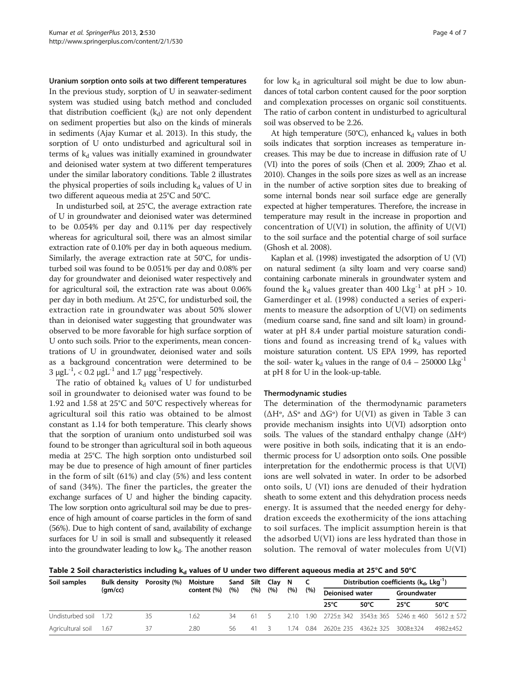#### Uranium sorption onto soils at two different temperatures

In the previous study, sorption of U in seawater-sediment system was studied using batch method and concluded that distribution coefficient  $(k_d)$  are not only dependent on sediment properties but also on the kinds of minerals in sediments (Ajay Kumar et al. [2013](#page-6-0)). In this study, the sorption of U onto undisturbed and agricultural soil in terms of  $k_d$  values was initially examined in groundwater and deionised water system at two different temperatures under the similar laboratory conditions. Table 2 illustrates the physical properties of soils including  $k_d$  values of U in two different aqueous media at 25°C and 50°C.

In undisturbed soil, at 25°C, the average extraction rate of U in groundwater and deionised water was determined to be 0.054% per day and 0.11% per day respectively whereas for agricultural soil, there was an almost similar extraction rate of 0.10% per day in both aqueous medium. Similarly, the average extraction rate at 50°C, for undisturbed soil was found to be 0.051% per day and 0.08% per day for groundwater and deionised water respectively and for agricultural soil, the extraction rate was about 0.06% per day in both medium. At 25°C, for undisturbed soil, the extraction rate in groundwater was about 50% slower than in deionised water suggesting that groundwater was observed to be more favorable for high surface sorption of U onto such soils. Prior to the experiments, mean concentrations of U in groundwater, deionised water and soils as a background concentration were determined to be 3  $\mu$ gL<sup>-1</sup>, < 0.2  $\mu$ gL<sup>-1</sup> and 1.7  $\mu$ gg<sup>-1</sup>respectively.

The ratio of obtained  $k_d$  values of U for undisturbed soil in groundwater to deionised water was found to be 1.92 and 1.58 at 25°C and 50°C respectively whereas for agricultural soil this ratio was obtained to be almost constant as 1.14 for both temperature. This clearly shows that the sorption of uranium onto undisturbed soil was found to be stronger than agricultural soil in both aqueous media at 25°C. The high sorption onto undisturbed soil may be due to presence of high amount of finer particles in the form of silt (61%) and clay (5%) and less content of sand (34%). The finer the particles, the greater the exchange surfaces of U and higher the binding capacity. The low sorption onto agricultural soil may be due to presence of high amount of coarse particles in the form of sand (56%). Due to high content of sand, availability of exchange surfaces for U in soil is small and subsequently it released into the groundwater leading to low  $k_d$ . The another reason

for low  $k_d$  in agricultural soil might be due to low abundances of total carbon content caused for the poor sorption and complexation processes on organic soil constituents. The ratio of carbon content in undisturbed to agricultural soil was observed to be 2.26.

At high temperature (50°C), enhanced  $k_d$  values in both soils indicates that sorption increases as temperature increases. This may be due to increase in diffusion rate of U (VI) into the pores of soils (Chen et al. [2009](#page-6-0); Zhao et al. [2010\)](#page-6-0). Changes in the soils pore sizes as well as an increase in the number of active sorption sites due to breaking of some internal bonds near soil surface edge are generally expected at higher temperatures. Therefore, the increase in temperature may result in the increase in proportion and concentration of U(VI) in solution, the affinity of U(VI) to the soil surface and the potential charge of soil surface (Ghosh et al. [2008\)](#page-6-0).

Kaplan et al. [\(1998\)](#page-6-0) investigated the adsorption of U (VI) on natural sediment (a silty loam and very coarse sand) containing carbonate minerals in groundwater system and found the  $k_d$  values greater than 400 Lkg<sup>-1</sup> at pH > 10. Gamerdinger et al. ([1998](#page-6-0)) conducted a series of experiments to measure the adsorption of U(VI) on sediments (medium coarse sand, fine sand and silt loam) in groundwater at pH 8.4 under partial moisture saturation conditions and found as increasing trend of  $k_d$  values with moisture saturation content. US EPA [1999,](#page-6-0) has reported the soil- water  $k_d$  values in the range of 0.4 – 250000 Lkg<sup>-1</sup> at pH 8 for U in the look-up-table.

#### Thermodynamic studies

The determination of the thermodynamic parameters (ΔHº, ΔSº and ΔGº) for U(VI) as given in Table [3](#page-4-0) can provide mechanism insights into U(VI) adsorption onto soils. The values of the standard enthalpy change  $(\Delta H^{\circ})$ were positive in both soils, indicating that it is an endothermic process for U adsorption onto soils. One possible interpretation for the endothermic process is that U(VI) ions are well solvated in water. In order to be adsorbed onto soils, U (VI) ions are denuded of their hydration sheath to some extent and this dehydration process needs energy. It is assumed that the needed energy for dehydration exceeds the exothermicity of the ions attaching to soil surfaces. The implicit assumption herein is that the adsorbed U(VI) ions are less hydrated than those in solution. The removal of water molecules from  $U(VI)$ 

Table 2 Soil characteristics including  $k_d$  values of U under two different aqueous media at 25°C and 50°C

| Soil samples          | <b>Bulk density</b><br>(qm/cc) | Porosity (%) | Moisture<br>content (%) | Sand<br>(%) | Silt<br>(%) | Clav N<br>(%) | (% ) | (%)  | Distribution coefficients $(k_d, Lkq^{-1})$ |                |                               |                |
|-----------------------|--------------------------------|--------------|-------------------------|-------------|-------------|---------------|------|------|---------------------------------------------|----------------|-------------------------------|----------------|
|                       |                                |              |                         |             |             |               |      |      | <b>Deionised water</b>                      |                | Groundwater                   |                |
|                       |                                |              |                         |             |             |               |      |      | $25^{\circ}$ C                              | $50^{\circ}$ C | $25^{\circ}$ C                | $50^{\circ}$ C |
| Undisturbed soil 1.72 |                                | 35           | 1.62                    | 34          | 61          |               | 210  | -90  | 2725± 342 3543± 365                         |                | $5246 \pm 460$ 5612 $\pm$ 572 |                |
| Agricultural soil     | - 1.67                         | 37           | 2.80                    | 56          | 41          |               | -74  | 0.84 | $2620+235$                                  | $4362+325$     | $3008 + 324$                  | 4982+452       |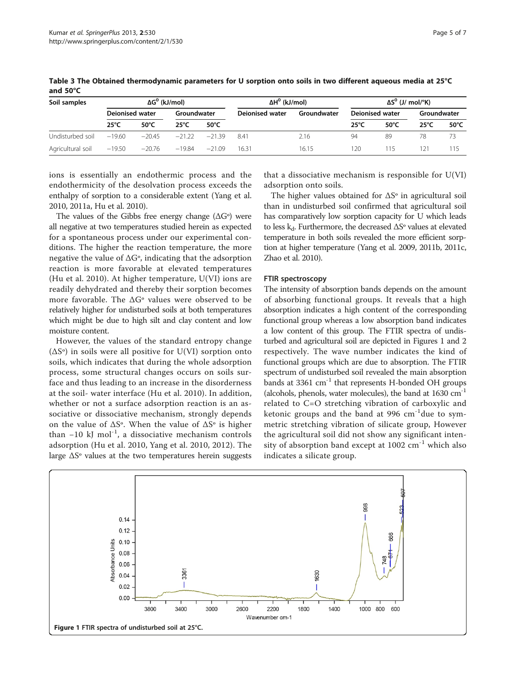| Soil samples      | $\Delta G^0$ (kJ/mol)  |                |                |                | ΔΗ <sup>0</sup> (kJ/mol) | ΔS <sup>0</sup> (J/ mol/°K) |                 |                |                |                |
|-------------------|------------------------|----------------|----------------|----------------|--------------------------|-----------------------------|-----------------|----------------|----------------|----------------|
|                   | <b>Deionised water</b> |                | Groundwater    |                | Deionised water          | Groundwater                 | Deionised water |                | Groundwater    |                |
|                   | $25^{\circ}$ C         | $50^{\circ}$ C | $25^{\circ}$ C | $50^{\circ}$ C |                          |                             | $25^{\circ}$ C  | $50^{\circ}$ C | $25^{\circ}$ C | $50^{\circ}$ C |
| Undisturbed soil  | $-19.60$               | $-20.45$       | $-21.22$       | $-2139$        | 8.41                     | 2.16                        | 94              | 89             | 78             | 73             |
| Agricultural soil | $-19.50$               | $-20.76$       | $-19.84$       | $-21.09$       | 1631                     | 16.15                       | 120.            | 115            | 121            | 115            |

<span id="page-4-0"></span>Table 3 The Obtained thermodynamic parameters for U sorption onto soils in two different aqueous media at 25°C and 50°C

ions is essentially an endothermic process and the endothermicity of the desolvation process exceeds the enthalpy of sorption to a considerable extent (Yang et al. [2010, 2011a](#page-6-0), Hu et al. [2010](#page-6-0)).

The values of the Gibbs free energy change  $(\Delta G^{\circ})$  were all negative at two temperatures studied herein as expected for a spontaneous process under our experimental conditions. The higher the reaction temperature, the more negative the value of  $\Delta G^{\circ}$ , indicating that the adsorption reaction is more favorable at elevated temperatures (Hu et al. [2010](#page-6-0)). At higher temperature, U(VI) ions are readily dehydrated and thereby their sorption becomes more favorable. The  $\Delta G^{\circ}$  values were observed to be relatively higher for undisturbed soils at both temperatures which might be due to high silt and clay content and low moisture content.

However, the values of the standard entropy change  $(\Delta S^{\circ})$  in soils were all positive for U(VI) sorption onto soils, which indicates that during the whole adsorption process, some structural changes occurs on soils surface and thus leading to an increase in the disorderness at the soil- water interface (Hu et al. [2010](#page-6-0)). In addition, whether or not a surface adsorption reaction is an associative or dissociative mechanism, strongly depends on the value of  $\Delta S^{\circ}$ . When the value of  $\Delta S^{\circ}$  is higher than  $-10$  kJ mol<sup>-1</sup>, a dissociative mechanism controls adsorption (Hu et al. [2010](#page-6-0), Yang et al. [2010](#page-6-0), [2012\)](#page-6-0). The large  $\Delta S^{\circ}$  values at the two temperatures herein suggests

that a dissociative mechanism is responsible for U(VI) adsorption onto soils.

The higher values obtained for ΔSº in agricultural soil than in undisturbed soil confirmed that agricultural soil has comparatively low sorption capacity for U which leads to less  $k_d$ . Furthermore, the decreased  $\Delta S^{\circ}$  values at elevated temperature in both soils revealed the more efficient sorption at higher temperature (Yang et al. [2009](#page-6-0), [2011b](#page-6-0), [2011c](#page-6-0), Zhao et al. [2010](#page-6-0)).

### FTIR spectroscopy

The intensity of absorption bands depends on the amount of absorbing functional groups. It reveals that a high absorption indicates a high content of the corresponding functional group whereas a low absorption band indicates a low content of this group. The FTIR spectra of undisturbed and agricultural soil are depicted in Figures 1 and [2](#page-5-0) respectively. The wave number indicates the kind of functional groups which are due to absorption. The FTIR spectrum of undisturbed soil revealed the main absorption bands at 3361  $cm^{-1}$  that represents H-bonded OH groups (alcohols, phenols, water molecules), the band at  $1630 \text{ cm}^{-1}$ related to C=O stretching vibration of carboxylic and ketonic groups and the band at 996  $cm^{-1}$ due to symmetric stretching vibration of silicate group, However the agricultural soil did not show any significant intensity of absorption band except at  $1002 \text{ cm}^{-1}$  which also indicates a silicate group.

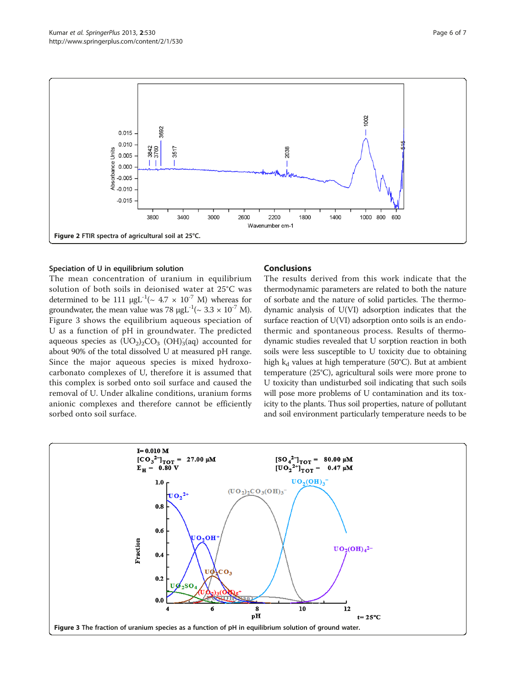<span id="page-5-0"></span>

## Speciation of U in equilibrium solution

The mean concentration of uranium in equilibrium solution of both soils in deionised water at 25°C was determined to be 111  $\mu g L^{-1}$ (~ 4.7 × 10<sup>-7</sup> M) whereas for groundwater, the mean value was 78  $\mu$ gL<sup>-1</sup>(~ 3.3 × 10<sup>-7</sup> M). Figure 3 shows the equilibrium aqueous speciation of U as a function of pH in groundwater. The predicted aqueous species as  $(\text{UO}_2)_2\text{CO}_3$   $(\text{OH})_3^{\text{-}}$  (aq) accounted for about 90% of the total dissolved U at measured pH range. Since the major aqueous species is mixed hydroxocarbonato complexes of U, therefore it is assumed that this complex is sorbed onto soil surface and caused the removal of U. Under alkaline conditions, uranium forms anionic complexes and therefore cannot be efficiently sorbed onto soil surface.

## Conclusions

The results derived from this work indicate that the thermodynamic parameters are related to both the nature of sorbate and the nature of solid particles. The thermodynamic analysis of U(VI) adsorption indicates that the surface reaction of U(VI) adsorption onto soils is an endothermic and spontaneous process. Results of thermodynamic studies revealed that U sorption reaction in both soils were less susceptible to U toxicity due to obtaining high  $k_d$  values at high temperature (50°C). But at ambient temperature (25°C), agricultural soils were more prone to U toxicity than undisturbed soil indicating that such soils will pose more problems of U contamination and its toxicity to the plants. Thus soil properties, nature of pollutant and soil environment particularly temperature needs to be